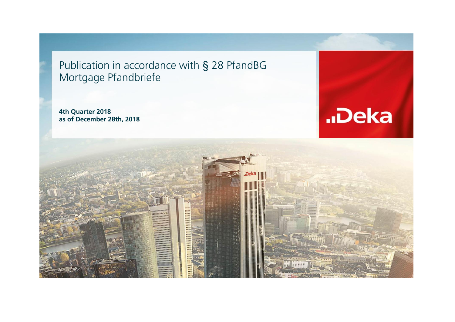Publication in accordance with § 28 PfandBG Mortgage Pfandbriefe

**4th Quarter 2018 as of December 28th, 2018**



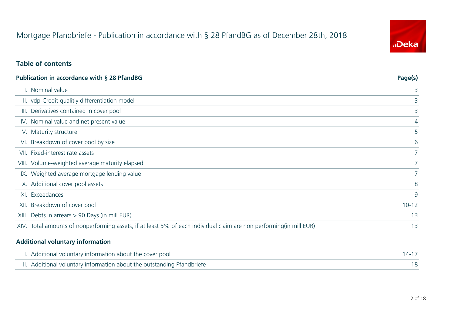## **Table of contents**

#### **Publication in accordance with § 28 PfandBG Page(s)**

- 
- II. vdp-Credit qualitiy differentiation model
- III. Derivatives contained in cover pool
- IV. Nominal value and net present value
- V. Maturity structure
- VI. Breakdown of cover pool by size
- VII. Fixed-interest rate assets
- VIII. Volume-weighted average maturity elapsed 7
- IX. Weighted average mortgage lending value
- X. Additional cover pool assets
- 
- XII. Breakdown of cover pool
- XIII. Debts in arrears  $> 90$  Days (in mill EUR)
- XIV. Total amounts of nonperforming assets, if at least 5% of each individual claim are non performing (in mill EUR)

| I. Nominal value                                                                                                   |                |
|--------------------------------------------------------------------------------------------------------------------|----------------|
| II. vdp-Credit qualitiy differentiation model                                                                      |                |
| III. Derivatives contained in cover pool                                                                           |                |
| IV. Nominal value and net present value                                                                            | $\overline{4}$ |
| V. Maturity structure                                                                                              |                |
| VI. Breakdown of cover pool by size                                                                                | 6              |
| VII. Fixed-interest rate assets                                                                                    |                |
| III. Volume-weighted average maturity elapsed                                                                      |                |
| IX. Weighted average mortgage lending value                                                                        |                |
| X. Additional cover pool assets                                                                                    | 8              |
| XI. Exceedances                                                                                                    | 9              |
| KII. Breakdown of cover pool                                                                                       | $10 - 12$      |
| III. Debts in arrears $> 90$ Days (in mill EUR)                                                                    | 13             |
| IV. Total amounts of nonperforming assets, if at least 5% of each individual claim are non performing(in mill EUR) | 13             |
|                                                                                                                    |                |

| $14 - 17$ |
|-----------|
| 18        |

#### **Additional voluntary information**

- I. Additional voluntary information about the cover pool
- II. Additional voluntary information about the outstanding Pfandbriefe



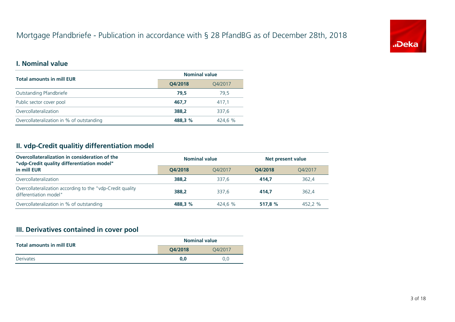## **I. Nominal value**

## **II. vdp-Credit qualitiy differentiation model**

| <b>Nominal value</b> |         |  |  |  |
|----------------------|---------|--|--|--|
| Q4/2018              | Q4/2017 |  |  |  |
| 79,5                 | 79,5    |  |  |  |
| 467,7                | 417,1   |  |  |  |
| 388,2                | 337,6   |  |  |  |
| 488,3 %              | 424,6 % |  |  |  |

## **III. Derivatives contained in cover pool**

#### **Total amounts in mill EUR**

Outstanding Pfandbriefe

Public sector cover pool

| <b>Nominal value</b> |         | <b>Net present value</b> |         |  |
|----------------------|---------|--------------------------|---------|--|
| Q4/2018              | Q4/2017 | Q4/2018                  | Q4/2017 |  |
| 388,2                | 337,6   | 414,7                    | 362,4   |  |
| 388,2                | 337,6   | 414,7                    | 362,4   |  |
| 488,3 %              | 424,6 % | 517,8 %                  | 452,2 % |  |

Overcollateralization

Overcollateralization in % of outstanding

| <b>Nominal value</b> |         |  |  |  |
|----------------------|---------|--|--|--|
| Q4/2018              | Q4/2017 |  |  |  |
| 0,0                  | 0,0     |  |  |  |





#### **Total amounts in mill EUR**

**Derivates** 

| Overcollateralization in consideration of the<br>"vdp-Credit quality differentiation model" |         | <b>Nominal value</b> |  |  |
|---------------------------------------------------------------------------------------------|---------|----------------------|--|--|
| in mill EUR                                                                                 | O4/2018 | O4/2017              |  |  |
| Overcollateralization                                                                       | 388.2   | 337,6                |  |  |

Overcollateralization according to the "vdp-Credit quality differentiation model"

Overcollateralization in % of outstanding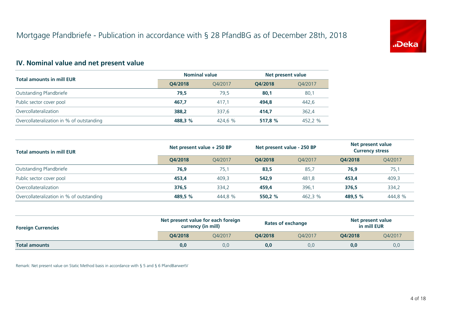## **IV. Nominal value and net present value**

|                                           |         | <b>Nominal value</b>       |         | Net present value          |         |                                                    |  |
|-------------------------------------------|---------|----------------------------|---------|----------------------------|---------|----------------------------------------------------|--|
| <b>Total amounts in mill EUR</b>          | Q4/2018 | Q4/2017                    | Q4/2018 | Q4/2017                    |         |                                                    |  |
| Outstanding Pfandbriefe                   | 79,5    | 79,5                       | 80,1    | 80,1                       |         |                                                    |  |
| Public sector cover pool                  | 467,7   | 417,1                      | 494,8   | 442,6                      |         |                                                    |  |
| Overcollateralization                     | 388,2   | 337,6                      | 414,7   | 362,4                      |         |                                                    |  |
| Overcollateralization in % of outstanding | 488,3 % | 424,6 %                    | 517,8%  | 452,2 %                    |         |                                                    |  |
| <b>Total amounts in mill EUR</b>          |         | Net present value + 250 BP |         | Net present value - 250 BP |         | <b>Net present value</b><br><b>Currency stress</b> |  |
|                                           | Q4/2018 | Q4/2017                    | Q4/2018 | Q4/2017                    | Q4/2018 | Q4/2017                                            |  |
| <b>Outstanding Pfandbriefe</b>            | 76,9    | 75,1                       | 83,5    | 85,7                       | 76,9    | 75,1                                               |  |
| Public sector cover pool                  | 453,4   | 409,3                      | 542,9   | 481,8                      | 453,4   | 409,3                                              |  |
| Overcollateralization                     | 376,5   | 334,2                      | 459,4   | 396,1                      | 376,5   | 334,2                                              |  |
| Overcollateralization in % of outstanding | 489,5 % | 444,8 %                    | 550,2 % | 462,3 %                    | 489,5 % | 444,8 %                                            |  |

| <b>Foreign Currencies</b> |         | Net present value for each foreign<br><b>currency (in mill)</b> | <b>Rates of exchange</b> |         | Net present value<br>in mill EUR |         |
|---------------------------|---------|-----------------------------------------------------------------|--------------------------|---------|----------------------------------|---------|
|                           | Q4/2018 | O4/2017                                                         | <b>Q4/2018</b>           | Q4/2017 | <b>Q4/2018</b>                   | Q4/2017 |
| <b>Total amounts</b>      | 0,0     | 0,0                                                             | 0,0                      | 0,0     | 0,0                              | 0,0     |





#### **Foreign Currencies**

Remark: Net present value on Static Method basis in accordance with § 5 and § 6 PfandBarwertV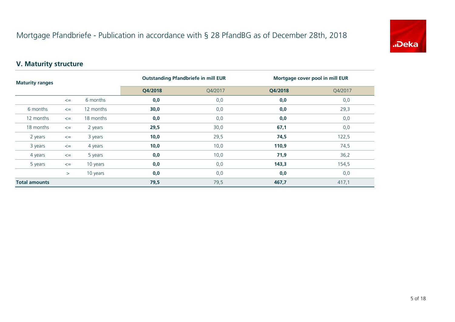### **V. Maturity structure**

| <b>Maturity ranges</b> |        |           |         | <b>Outstanding Pfandbriefe in mill EUR</b> | <b>Mortgage cover pool in mill EUR</b> |         |
|------------------------|--------|-----------|---------|--------------------------------------------|----------------------------------------|---------|
|                        |        |           | Q4/2018 | Q4/2017                                    | Q4/2018                                | Q4/2017 |
|                        | $\leq$ | 6 months  | 0,0     | 0,0                                        | 0,0                                    | 0,0     |
| 6 months               | $\leq$ | 12 months | 30,0    | 0,0                                        | 0,0                                    | 29,3    |
| 12 months              | $\leq$ | 18 months | 0,0     | 0,0                                        | 0,0                                    | 0,0     |
| 18 months              | $\leq$ | 2 years   | 29,5    | 30,0                                       | 67,1                                   | 0,0     |
| 2 years                | $\leq$ | 3 years   | 10,0    | 29,5                                       | 74,5                                   | 122,5   |
| 3 years                | $\leq$ | 4 years   | 10,0    | 10,0                                       | 110,9                                  | 74,5    |
| 4 years                | $\leq$ | 5 years   | 0,0     | 10,0                                       | 71,9                                   | 36,2    |
| 5 years                | $\leq$ | 10 years  | 0,0     | 0,0                                        | 143,3                                  | 154,5   |
|                        | >      | 10 years  | 0, 0    | 0,0                                        | 0,0                                    | 0,0     |
| <b>Total amounts</b>   |        |           | 79,5    | 79,5                                       | 467,7                                  | 417,1   |



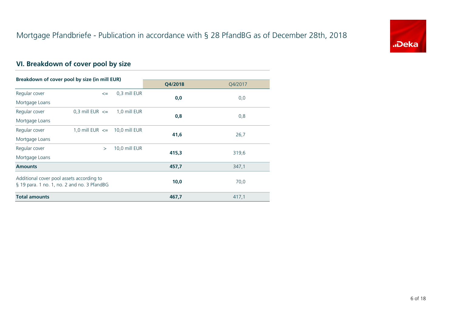## **VI. Breakdown of cover pool by size**

| Breakdown of cover pool by size (in mill EUR) |                                     |               |         |         |  |
|-----------------------------------------------|-------------------------------------|---------------|---------|---------|--|
|                                               |                                     |               | Q4/2018 | Q4/2017 |  |
| Regular cover                                 | $\leq$                              | 0,3 mill EUR  | 0,0     |         |  |
| Mortgage Loans                                |                                     |               |         | 0,0     |  |
| Regular cover                                 | $0,3$ mill EUR $\leq$               | 1,0 mill EUR  |         |         |  |
| Mortgage Loans                                |                                     |               | 0,8     | 0,8     |  |
| Regular cover                                 | 1,0 mill $EUR \leq 10,0$ mill $EUR$ |               |         |         |  |
| Mortgage Loans                                |                                     |               | 41,6    | 26,7    |  |
| Regular cover                                 | $\geq$                              | 10,0 mill EUR |         |         |  |
| Mortgage Loans                                |                                     |               | 415,3   | 319,6   |  |
| <b>Amounts</b>                                |                                     |               | 457,7   | 347,1   |  |
| Additional cover pool assets according to     |                                     |               |         |         |  |
| § 19 para. 1 no. 1, no. 2 and no. 3 PfandBG   |                                     |               | 10,0    | 70,0    |  |
| <b>Total amounts</b>                          |                                     |               | 467,7   | 417,1   |  |



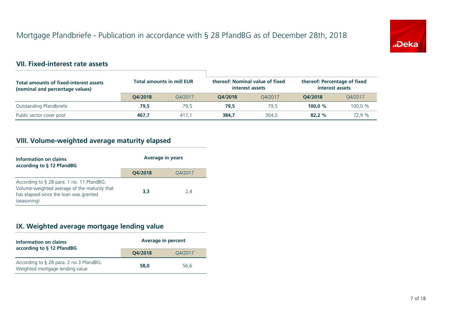#### **VII. Fixed-interest rate assets**

### **VIII. Volume-weighted average maturity elapsed**

**3,3** 2,4

#### **Percent**

### **IX. Weighted average mortgage lending value**

**58,0** 56,6





# tage of fixed **issets** Q4/2017 **Q4/2018** Q4/2017 **Q4/2018** Q4/2017

| <b>Total amounts of fixed-interest assets</b><br>(nominal and percentage values) |         | <b>Total amounts in mill EUR</b> |                | thereof: Nominal value of fixed<br>interest assets |         | thereof: Percentage of fixed<br>interest assets |  |
|----------------------------------------------------------------------------------|---------|----------------------------------|----------------|----------------------------------------------------|---------|-------------------------------------------------|--|
|                                                                                  | Q4/2018 | O4/2017                          | <b>Q4/2018</b> | O4/2017                                            | Q4/2018 | Q4/2017                                         |  |
| Outstanding Pfandbriefe                                                          | 79,5    | 79,5                             | 79,5           | 79,5                                               | 100,0%  | 100,0 %                                         |  |
| Public sector cover pool                                                         | 467,7   | 417,1                            | 384,7          | 304,0                                              | 82,2%   | 72,9 %                                          |  |

| Information on claims<br>according to § 12 PfandBG                         | <b>Average in p</b> |  |
|----------------------------------------------------------------------------|---------------------|--|
|                                                                            | Q4/2018             |  |
| According to § 28 para. 2 no.3 PfandBG:<br>Weighted mortgage lending value | 58,0                |  |

#### **years**

| Information on claims<br>according to § 12 PfandBG                                                                                                 | <b>Average in</b> |  |
|----------------------------------------------------------------------------------------------------------------------------------------------------|-------------------|--|
|                                                                                                                                                    | Q4/2018           |  |
| According to § 28 para. 1 no. 11 PfandBG:<br>Volume-weighted average of the maturity that<br>has elapsed since the loan was granted<br>(seasoning) | 3,3               |  |

**Q4/2018** Q4/2017

**Q4/2018** Q4/2017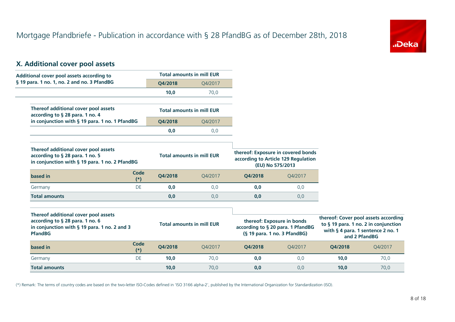#### **X. Additional cover pool assets**

(\*) Remark: The terms of country codes are based on the two-letter ISO-Codes defined in 'ISO 3166 alpha-2', published by the International Organization for Standardization (ISO).





# **Cover pool assets according to § 19 para. 1 no. 2 in conjunction with § 4 para. 1 sentence 2 no. 1 and 2 PfandBG Q4/2018** Q4/2017

| <b>Additional cover pool assets according to</b>                                                                                                    |         | <b>Total amounts in mill EUR</b> |         |                                                                                                 |                                                                                                     |               |
|-----------------------------------------------------------------------------------------------------------------------------------------------------|---------|----------------------------------|---------|-------------------------------------------------------------------------------------------------|-----------------------------------------------------------------------------------------------------|---------------|
| § 19 para. 1 no. 1, no. 2 and no. 3 PfandBG                                                                                                         | Q4/2018 | Q4/2017                          |         |                                                                                                 |                                                                                                     |               |
|                                                                                                                                                     | 10,0    | 70,0                             |         |                                                                                                 |                                                                                                     |               |
| Thereof additional cover pool assets<br>according to § 28 para. 1 no. 4                                                                             |         | <b>Total amounts in mill EUR</b> |         |                                                                                                 |                                                                                                     |               |
| in conjunction with § 19 para. 1 no. 1 PfandBG                                                                                                      | Q4/2018 | Q4/2017                          |         |                                                                                                 |                                                                                                     |               |
|                                                                                                                                                     | 0,0     | 0,0                              |         |                                                                                                 |                                                                                                     |               |
| <b>Thereof additional cover pool assets</b><br>according to § 28 para. 1 no. 5<br>in conjunction with § 19 para. 1 no. 2 PfandBG                    |         | <b>Total amounts in mill EUR</b> |         | thereof: Exposure in covered bonds<br>according to Article 129 Regulation<br>(EU) No 575/2013   |                                                                                                     |               |
| Code<br>based in<br>$(*)$                                                                                                                           | Q4/2018 | Q4/2017                          | Q4/2018 | Q4/2017                                                                                         |                                                                                                     |               |
| DE<br>Germany                                                                                                                                       | 0,0     | 0,0                              | 0,0     | 0,0                                                                                             |                                                                                                     |               |
| <b>Total amounts</b>                                                                                                                                | 0,0     | 0,0                              | 0,0     | 0,0                                                                                             |                                                                                                     |               |
| <b>Thereof additional cover pool assets</b><br>according to § 28 para. 1 no. 6<br>in conjunction with $\S$ 19 para. 1 no. 2 and 3<br><b>PfandBG</b> |         | <b>Total amounts in mill EUR</b> |         | thereof: Exposure in bonds<br>according to § 20 para. 1 PfandBG<br>(§ 19 para. 1 no. 3 PfandBG) | thereof: Cover pool assets acco<br>to § 19 para. 1 no. 2 in conjun<br>with § 4 para. 1 sentence 2 n | and 2 PfandBG |
| Code<br>based in<br>$(*)$                                                                                                                           | Q4/2018 | Q4/2017                          | Q4/2018 | Q4/2017                                                                                         | Q4/2018                                                                                             | Q4/2011       |
| DE<br>Germany                                                                                                                                       | 10,0    | 70,0                             | 0,0     | 0,0                                                                                             | 10,0                                                                                                | 70,0          |
| <b>Total amounts</b>                                                                                                                                | 10,0    | 70,0                             | 0,0     | 0,0                                                                                             | 10,0                                                                                                | 70,0          |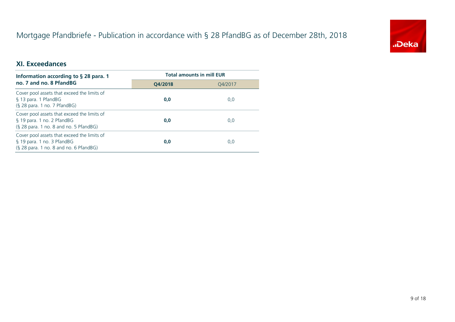### **XI. Exceedances**

| Information according to § 28 para. 1                                                                                | <b>Total amounts in mill EUR</b> |         |  |
|----------------------------------------------------------------------------------------------------------------------|----------------------------------|---------|--|
| no. 7 and no. 8 PfandBG                                                                                              | Q4/2018                          | Q4/2017 |  |
| Cover pool assets that exceed the limits of<br>§ 13 para. 1 PfandBG<br>$(S28 para. 1 no. 7 PfandBG)$                 | 0,0                              | 0,0     |  |
| Cover pool assets that exceed the limits of<br>§ 19 para. 1 no. 2 PfandBG<br>$(S28 para. 1 no. 8 and no. 5 PfandBG)$ | 0,0                              | 0,0     |  |
| Cover pool assets that exceed the limits of<br>§ 19 para. 1 no. 3 PfandBG<br>$(S28 para. 1 no. 8 and no. 6 PfandBG)$ | 0,0                              | 0,0     |  |



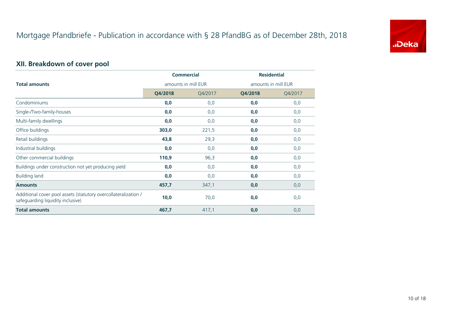## **XII. Breakdown of cover pool**

|                                                                                                      |                     | <b>Commercial</b> |         | <b>Residential</b>  |
|------------------------------------------------------------------------------------------------------|---------------------|-------------------|---------|---------------------|
| <b>Total amounts</b>                                                                                 | amounts in mill EUR |                   |         | amounts in mill EUR |
|                                                                                                      | Q4/2018             | Q4/2017           | Q4/2018 | Q4/2017             |
| Condominiums                                                                                         | 0, 0                | 0,0               | 0,0     | 0,0                 |
| Single-/Two-family-houses                                                                            | 0,0                 | 0,0               | 0,0     | 0,0                 |
| Multi-family dwellings                                                                               | 0,0                 | 0,0               | 0,0     | 0,0                 |
| Office buildings                                                                                     | 303,0               | 221,5             | 0,0     | 0,0                 |
| Retail buildings                                                                                     | 43,8                | 29,3              | 0,0     | 0,0                 |
| Industrial buildings                                                                                 | 0,0                 | 0,0               | 0,0     | 0,0                 |
| Other commercial buildings                                                                           | 110,9               | 96,3              | 0,0     | 0,0                 |
| Buildings under construction not yet producing yield                                                 | 0,0                 | 0,0               | 0,0     | 0,0                 |
| <b>Building land</b>                                                                                 | 0,0                 | 0,0               | 0,0     | 0,0                 |
| <b>Amounts</b>                                                                                       | 457,7               | 347,1             | 0,0     | 0,0                 |
| Additional cover pool assets (statutory overcollateralization /<br>safeguarding liquidity inclusive) | 10,0                | 70,0              | 0,0     | 0,0                 |
| <b>Total amounts</b>                                                                                 | 467,7               | 417,1             | 0,0     | 0,0                 |



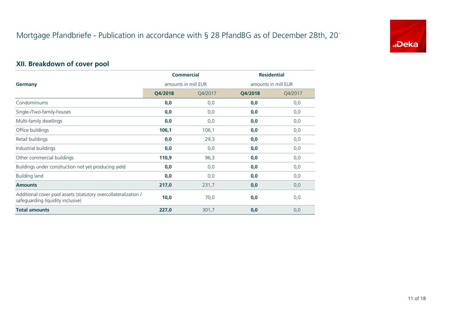## **XII. Breakdown of cover pool**

|                                                                                                      | <b>Commercial</b><br>amounts in mill EUR |         | <b>Residential</b> |                     |
|------------------------------------------------------------------------------------------------------|------------------------------------------|---------|--------------------|---------------------|
| <b>Germany</b>                                                                                       |                                          |         |                    | amounts in mill EUR |
|                                                                                                      | Q4/2018                                  | Q4/2017 | Q4/2018            | Q4/2017             |
| Condominiums                                                                                         | 0,0                                      | 0,0     | 0, 0               | 0,0                 |
| Single-/Two-family-houses                                                                            | 0,0                                      | 0,0     | 0,0                | 0,0                 |
| Multi-family dwellings                                                                               | 0,0                                      | 0,0     | 0,0                | 0,0                 |
| Office buildings                                                                                     | 106,1                                    | 106,1   | 0,0                | 0,0                 |
| Retail buildings                                                                                     | 0,0                                      | 29,3    | 0,0                | 0,0                 |
| Industrial buildings                                                                                 | 0,0                                      | 0,0     | 0, 0               | 0,0                 |
| Other commercial buildings                                                                           | 110,9                                    | 96,3    | 0,0                | 0,0                 |
| Buildings under construction not yet producing yield                                                 | 0,0                                      | 0,0     | 0,0                | 0,0                 |
| <b>Building land</b>                                                                                 | 0,0                                      | 0,0     | 0,0                | 0,0                 |
| <b>Amounts</b>                                                                                       | 217,0                                    | 231,7   | 0,0                | 0,0                 |
| Additional cover pool assets (statutory overcollateralization /<br>safeguarding liquidity inclusive) | 10,0                                     | 70,0    | 0,0                | 0,0                 |
| <b>Total amounts</b>                                                                                 | 227,0                                    | 301,7   | 0,0                | 0,0                 |



11 of 18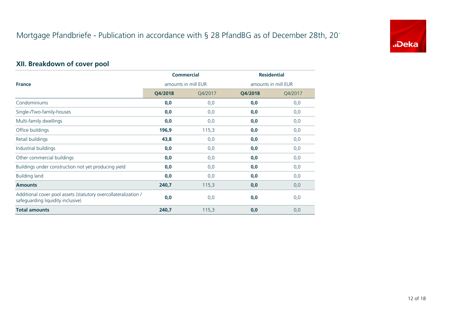## **XII. Breakdown of cover pool**

|                                                                                                      | <b>Commercial</b><br>amounts in mill EUR |         | <b>Residential</b> |                     |
|------------------------------------------------------------------------------------------------------|------------------------------------------|---------|--------------------|---------------------|
| <b>France</b>                                                                                        |                                          |         |                    | amounts in mill EUR |
|                                                                                                      | Q4/2018                                  | Q4/2017 | Q4/2018            | Q4/2017             |
| Condominiums                                                                                         | 0,0                                      | 0,0     | 0,0                | 0,0                 |
| Single-/Two-family-houses                                                                            | 0, 0                                     | 0,0     | 0,0                | 0,0                 |
| Multi-family dwellings                                                                               | 0,0                                      | 0,0     | 0,0                | 0,0                 |
| Office buildings                                                                                     | 196,9                                    | 115,3   | 0,0                | 0,0                 |
| Retail buildings                                                                                     | 43,8                                     | 0,0     | 0,0                | 0,0                 |
| Industrial buildings                                                                                 | 0,0                                      | 0,0     | 0, 0               | 0,0                 |
| Other commercial buildings                                                                           | 0,0                                      | 0,0     | 0,0                | 0,0                 |
| Buildings under construction not yet producing yield                                                 | 0,0                                      | 0,0     | 0,0                | 0,0                 |
| <b>Building land</b>                                                                                 | 0,0                                      | 0,0     | 0,0                | 0,0                 |
| <b>Amounts</b>                                                                                       | 240,7                                    | 115,3   | 0,0                | 0,0                 |
| Additional cover pool assets (statutory overcollateralization /<br>safeguarding liquidity inclusive) | 0,0                                      | 0,0     | 0,0                | 0,0                 |
| <b>Total amounts</b>                                                                                 | 240,7                                    | 115,3   | 0,0                | 0,0                 |

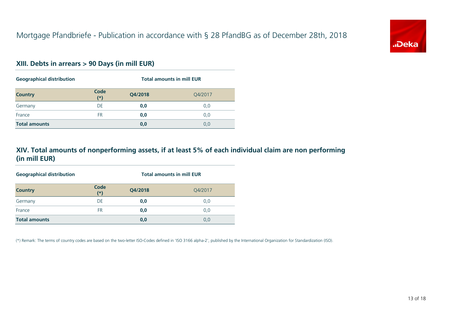### **XIII. Debts in arrears > 90 Days (in mill EUR)**

(\*) Remark: The terms of country codes are based on the two-letter ISO-Codes defined in 'ISO 3166 alpha-2', published by the International Organization for Standardization (ISO).







| <b>Geographical distribution</b> |               | <b>Total amounts in mill EUR</b> |         |
|----------------------------------|---------------|----------------------------------|---------|
| <b>Country</b>                   | Code<br>$(*)$ | Q4/2018                          | Q4/2017 |
| Germany                          | DE            | 0,0                              | 0,0     |
| France                           | <b>FR</b>     | 0,0                              | 0,0     |
| <b>Total amounts</b>             |               | 0,0                              | 0,0     |

| <b>Geographical distribution</b> | <b>Total amounts in mill EUR</b> |         |         |
|----------------------------------|----------------------------------|---------|---------|
| <b>Country</b>                   | Code<br>$(*)$                    | Q4/2018 | Q4/2017 |
| Germany                          | <b>DE</b>                        | 0,0     | 0,0     |
| France                           | <b>FR</b>                        | 0,0     | 0,0     |
| <b>Total amounts</b>             |                                  | 0,0     | 0,0     |

## **XIV. Total amounts of nonperforming assets, if at least 5% of each individual claim are non performing (in mill EUR)**

13 of 18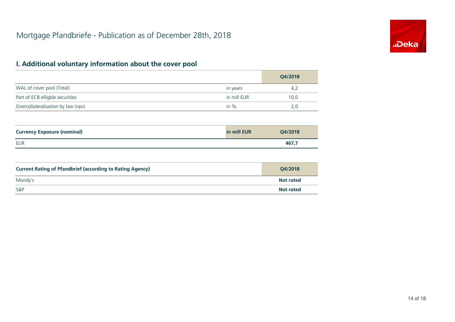## **I. Additional voluntary information about the cover pool**

WAL of cover pool (Total)

Part of ECB elligble securities

|             | Q4/2018 |
|-------------|---------|
| in years    | 4,2     |
| in mill EUR | 10,0    |
| in $\%$     | 2,0     |

Overcollateralisation by law (npv)

| <b>Currency Exposure (nominal)</b> | in mill EUR | Q4/2018 |
|------------------------------------|-------------|---------|
| <b>EUR</b>                         |             | 467,7   |

#### **Currency Exposure (nominal)**

Moody's

S&P

#### **Current Rating of Pfandbrief (according to Rating Agency)**

| Q4/2018          |
|------------------|
| <b>Not rated</b> |
| <b>Not rated</b> |

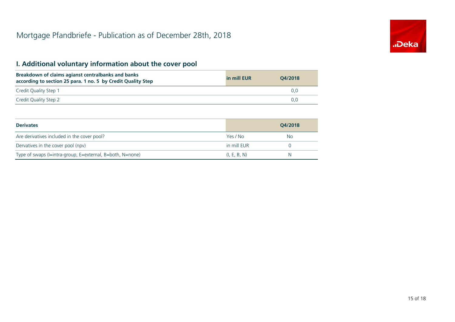### **I. Additional voluntary information about the cover pool**

#### **Derivates**

**Breakdown of claims agianst centralbanks and banks according to section 25 para. 1 no. 5 by Credit Quality Step**

| in mill EUR | Q4/2018 |
|-------------|---------|
|             | 0,0     |
|             | 0,0     |

|              | Q4/2018          |
|--------------|------------------|
| Yes / No     | <b>No</b>        |
| in mill EUR  | $\left( \right)$ |
| (I, E, B, N) | N                |



Credit Quality Step 1

Credit Quality Step 2

Are derivatives included in the cover pool?

Dervatives in the cover pool (npv)

Type of swaps (I=intra-group, E=external, B=both, N=none)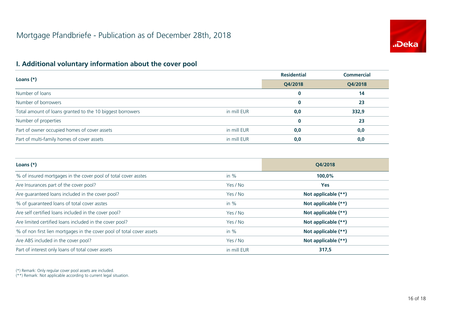## **I. Additional voluntary information about the cover pool**

(\*) Remark: Only regular cover pool assets are included.

|             | <b>Residential</b> | <b>Commercial</b> |
|-------------|--------------------|-------------------|
|             | Q4/2018            | Q4/2018           |
|             | $\bf{0}$           | 14                |
|             | $\bf{0}$           | 23                |
| in mill EUR | 0,0                | 332,9             |
|             | $\bf{0}$           | 23                |
| in mill EUR | 0, 0               | 0,0               |
| in mill EUR | 0,0                | 0,0               |

(\*\*) Remark: Not applicable according to current legal situation.

#### **Loans (\*)**

Number of loans

Number of borrowers

Total amount of loans granted to the 10 biggest borrowers

Number of properties

Part of owner occupied homes of cover assets

Part of multi-family homes of cover assets

#### **Loans (\*)**

% of insured mortgages in the cover pool of total cover asstes

|             | Q4/2018             |
|-------------|---------------------|
| in %        | 100,0%              |
| Yes / No    | Yes                 |
| Yes / No    | Not applicable (**) |
| in $\%$     | Not applicable (**) |
| Yes / No    | Not applicable (**) |
| Yes / No    | Not applicable (**) |
| in $\%$     | Not applicable (**) |
| Yes / No    | Not applicable (**) |
| in mill EUR | 317,5               |



Part of interest only loans of total cover assets

Are self certified loans included in the cover pool?

Are limited certified loans included in the cover pool?

% of non first lien mortgages in the cover pool of total cover assets

Are ABS included in the cover pool?

Are Insurances part of the cover pool?

Are guaranteed loans included in the cover pool?

% of guaranteed loans of total cover asstes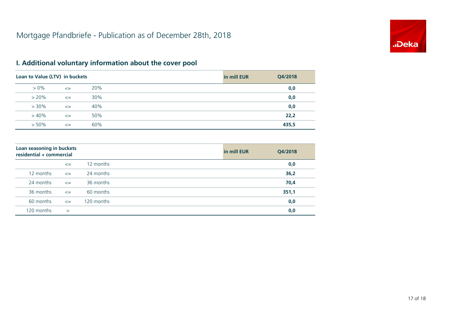## **I. Additional voluntary information about the cover pool**

| Q4/2018 |
|---------|
| 0,0     |
| 36,2    |
| 70,4    |
| 351,1   |
| 0,0     |
| 0,0     |
|         |



| Loan to Value (LTV) in buckets |        |     | in mill EUR | Q4/2018 |
|--------------------------------|--------|-----|-------------|---------|
| $> 0\%$                        | $\leq$ | 20% |             | 0,0     |
| $> 20\%$                       | $\leq$ | 30% |             | 0,0     |
| $> 30\%$                       | $\leq$ | 40% |             | 0,0     |
| $> 40\%$                       | $\leq$ | 50% |             | 22,2    |
| $> 50\%$                       | $\leq$ | 60% |             | 435,5   |

#### **Loan seasoning in buckets residential + commercial**